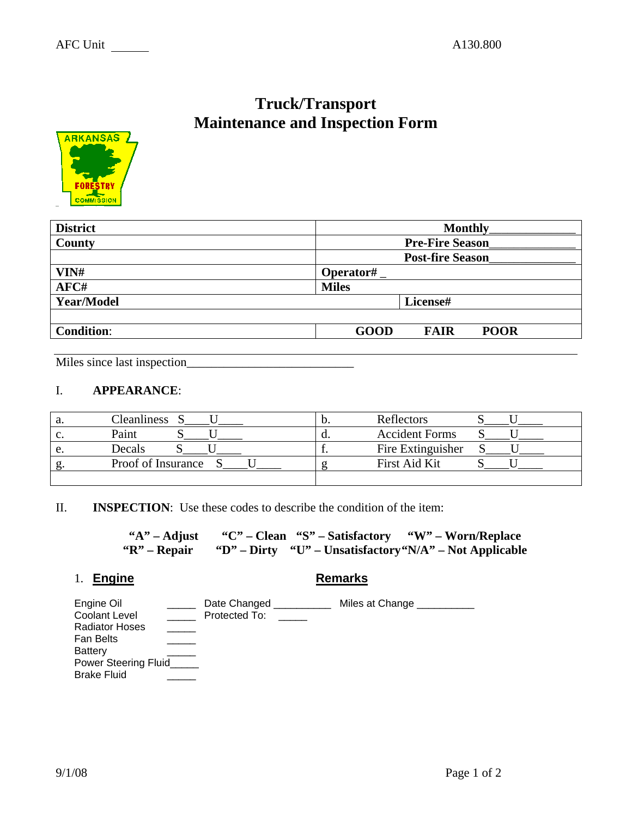# **Truck/Transport Maintenance and Inspection Form**

| <b>District</b>   | <b>Monthly</b>                            |
|-------------------|-------------------------------------------|
| <b>County</b>     | <b>Pre-Fire Season</b>                    |
|                   | <b>Post-fire Season</b>                   |
| VIN#              | Operator#                                 |
| RUM#              | <b>Miles</b>                              |
| <b>Year/Model</b> | License#                                  |
|                   |                                           |
| <b>Condition:</b> | <b>POOR</b><br><b>GOOD</b><br><b>FAIR</b> |
|                   |                                           |

Miles since last inspection\_\_\_\_\_\_\_\_\_\_\_\_\_\_\_\_\_\_\_\_\_\_\_\_\_\_\_

#### I. **APPEARANCE**:

| a. | Cleanliness        | υ. | Reflectors            |  |
|----|--------------------|----|-----------------------|--|
| J. | Paint              |    | <b>Accident Forms</b> |  |
| e. | Decals             |    | Fire Extinguisher     |  |
|    | Proof of Insurance |    | First Aid Kit         |  |
|    |                    |    |                       |  |

II. **INSPECTION**: Use these codes to describe the condition of the item:

**"A" – Adjust "C" – Clean "S" – Satisfactory "W" – Worn/Replace**  "D" – Dirty "U" – Unsatisfactory "N/A" – Not Applicable

#### 1. **Engine Remarks**

| Engine Oil           | Date Changed  | Miles at Change |  |
|----------------------|---------------|-----------------|--|
| <b>Coolant Level</b> | Protected To: |                 |  |
| Radiator Hoses       |               |                 |  |
| Fan Belts            |               |                 |  |
| Battery              |               |                 |  |
| Power Steering Fluid |               |                 |  |
| Brake Fluid          |               |                 |  |
|                      |               |                 |  |